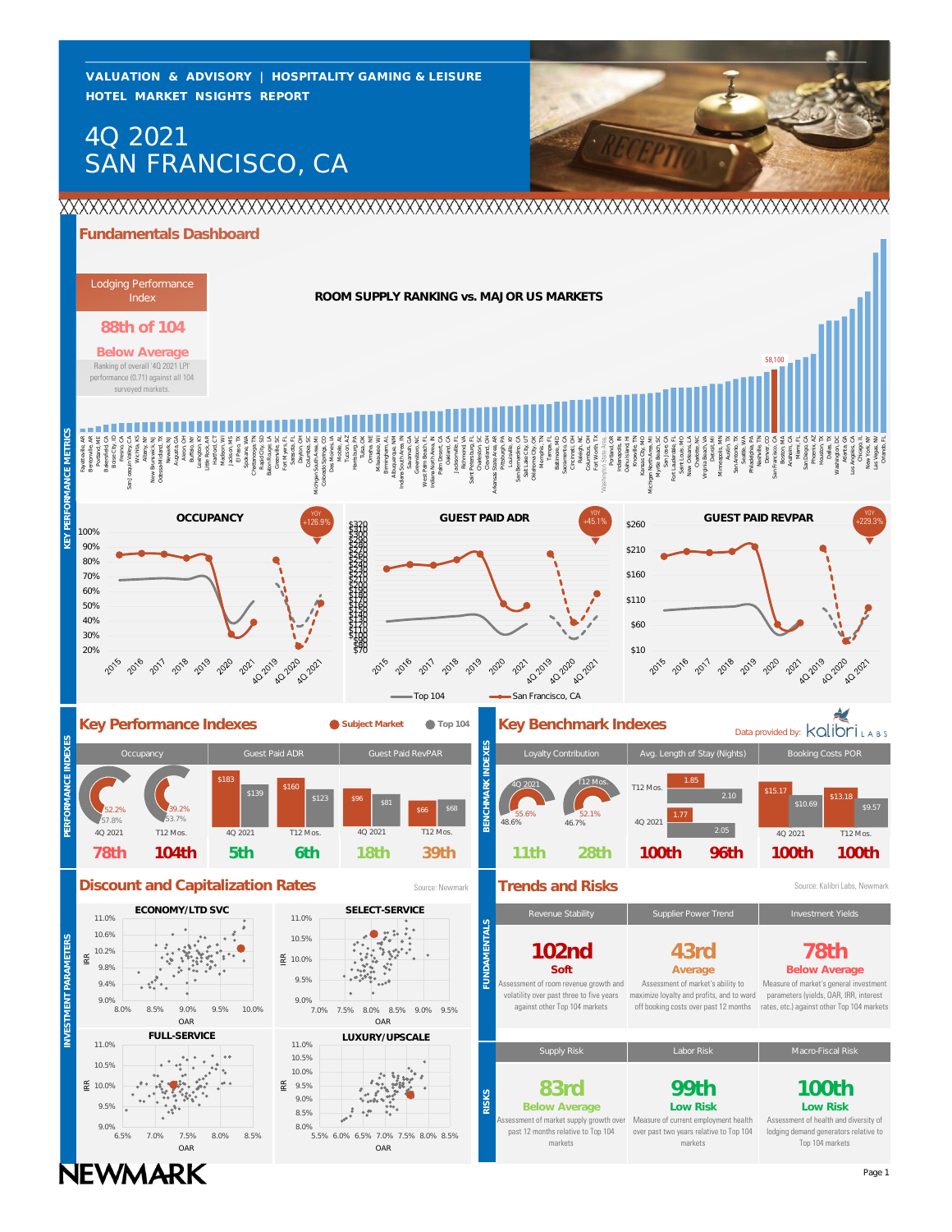**HOTEL MARKET NSIGHTS REPORT VALUATION & ADVISORY | HOSPITALITY GAMING & LEISURE**

# SAN FRANCISCO, CA 4Q 2021



# **Fundamentals Dashboard**



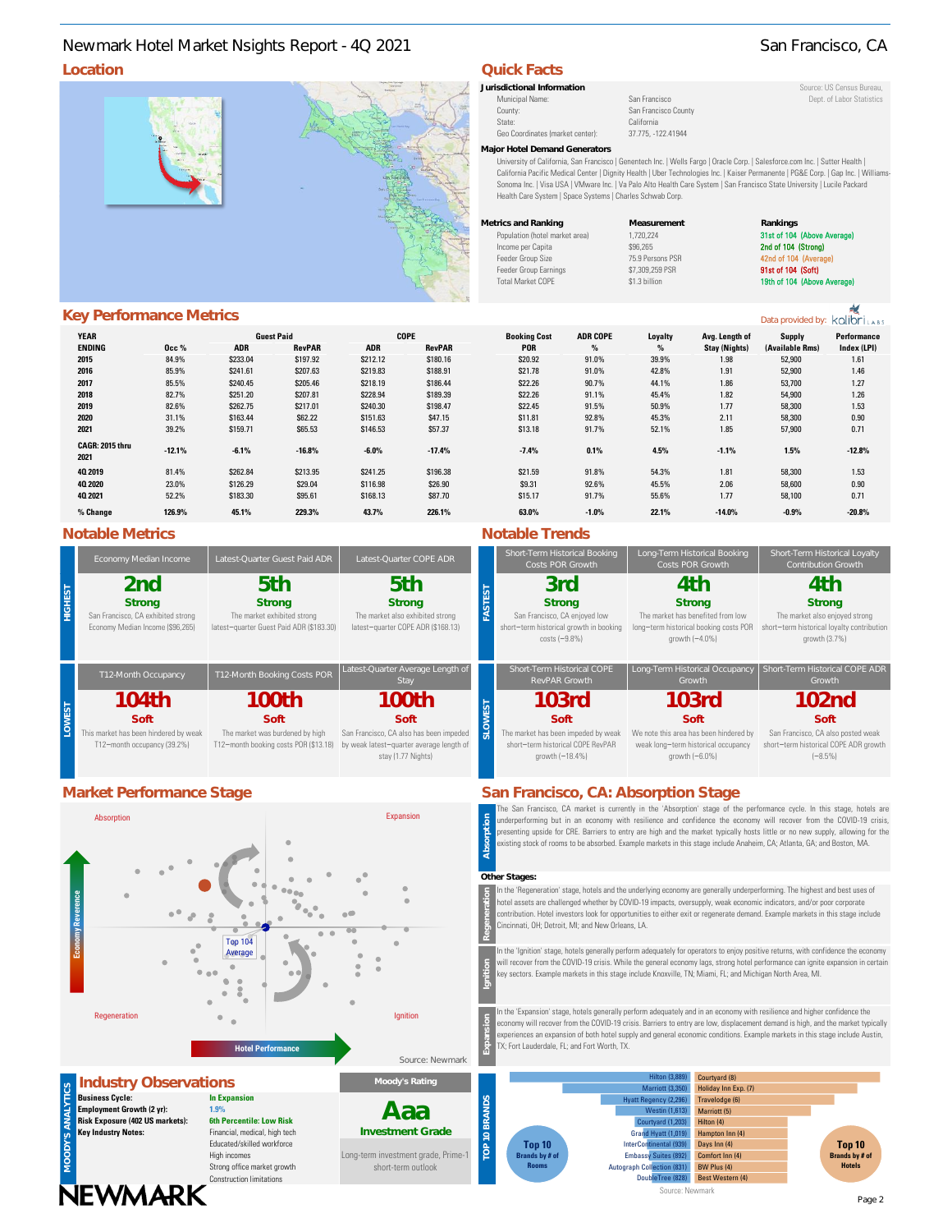# **Location COLLEGE 2018** Newmark Hotel Market Nsights Report - 4Q 2021 San Francisco, CA

Municipal Name: San Francisco County Dept. of Labor Statistics County: Dept. of Labor Statistics County San Francisco County San Francisco County State: California<br>Geo Coordinates (market center): 37.775. -122.41944

Geo Coordinates (market center): **Major Hotel Demand Generators**

University of California, San Francisco | Genentech Inc. | Wells Fargo | Oracle Corp. | Salesforce.com Inc. | Sutter Health | California Pacific Medical Center | Dignity Health | Uber Technologies Inc. | Kaiser Permanente | PG&E Corp. | Gap Inc. | Williams-Sonoma Inc. | Visa USA | VMware Inc. | Va Palo Alto Health Care System | San Francisco State University | Lucile Packard Health Care System | Space Systems | Charles Schwab Corp.

| Metrics and Ranking            | Measurement      | Rankings    |
|--------------------------------|------------------|-------------|
| Population (hotel market area) | 1.720.224        | 31st of 104 |
| Income per Capita              | \$96.265         | 2nd of 104  |
| Feeder Group Size              | 75.9 Persons PSR | 42nd of 104 |
| Feeder Group Earnings          | \$7,309,259 PSR  | 91st of 104 |
| <b>Total Market COPE</b>       | \$1.3 billion    | 19th of 104 |
|                                |                  |             |

### 31st of 104 (Above A Income per Capital School 2nd of 104 (Strong)<br>Income PSR 32nd of 104 (Averac 42nd of 104 Feeder Group Earnings \$1,309,259 PSR 91st of 104 (Soft) Total Market Cope & 19th of 104 (Above Average)

# **Key Performance Metrics**

| <b>YEAR</b>             |          |            | <b>Guest Paid</b> |            | <b>COPE</b>   | <b>Booking Cost</b> | <b>ADR COPE</b> | Loyalty | Avg. Length of       | <b>Supply</b>   | Performance |
|-------------------------|----------|------------|-------------------|------------|---------------|---------------------|-----------------|---------|----------------------|-----------------|-------------|
| <b>ENDING</b>           | 0cc %    | <b>ADR</b> | <b>RevPAR</b>     | <b>ADR</b> | <b>RevPAR</b> | <b>POR</b>          | $\%$            | $\%$    | <b>Stay (Nights)</b> | (Available Rms) | Index (LPI) |
| 2015                    | 84.9%    | \$233.04   | \$197.92          | \$212.12   | \$180.16      | \$20.92             | 91.0%           | 39.9%   | 1.98                 | 52,900          | 1.61        |
| 2016                    | 85.9%    | \$241.61   | \$207.63          | \$219.83   | \$188.91      | \$21.78             | 91.0%           | 42.8%   | 1.91                 | 52,900          | 1.46        |
| 2017                    | 85.5%    | \$240.45   | \$205.46          | \$218.19   | \$186.44      | \$22.26             | 90.7%           | 44.1%   | 1.86                 | 53,700          | 1.27        |
| 2018                    | 82.7%    | \$251.20   | \$207.81          | \$228.94   | \$189.39      | \$22.26             | 91.1%           | 45.4%   | 1.82                 | 54,900          | 1.26        |
| 2019                    | 82.6%    | \$262.75   | \$217.01          | \$240.30   | \$198.47      | \$22.45             | 91.5%           | 50.9%   | 1.77                 | 58,300          | 1.53        |
| 2020                    | 31.1%    | \$163.44   | \$62.22           | \$151.63   | \$47.15       | \$11.81             | 92.8%           | 45.3%   | 2.11                 | 58,300          | 0.90        |
| 2021                    | 39.2%    | \$159.71   | \$65.53           | \$146.53   | \$57.37       | \$13.18             | 91.7%           | 52.1%   | 1.85                 | 57,900          | 0.71        |
| CAGR: 2015 thru<br>2021 | $-12.1%$ | $-6.1%$    | $-16.8%$          | $-6.0%$    | $-17.4%$      | $-7.4%$             | 0.1%            | 4.5%    | $-1.1%$              | 1.5%            | $-12.8%$    |
| 40 2019                 | 81.4%    | \$262.84   | \$213.95          | \$241.25   | \$196.38      | \$21.59             | 91.8%           | 54.3%   | 1.81                 | 58,300          | 1.53        |
| 40 20 20                | 23.0%    | \$126.29   | \$29.04           | \$116.98   | \$26.90       | \$9.31              | 92.6%           | 45.5%   | 2.06                 | 58,600          | 0.90        |
| 40 2021                 | 52.2%    | \$183.30   | \$95.61           | \$168.13   | \$87.70       | \$15.17             | 91.7%           | 55.6%   | 1.77                 | 58,100          | 0.71        |
| % Change                | 126.9%   | 45.1%      | 229.3%            | 43.7%      | 226.1%        | 63.0%               | $-1.0%$         | 22.1%   | $-14.0%$             | $-0.9\%$        | $-20.8%$    |

## **Notable Metrics Notable Trends**

| Economy Median Income                                                                   | Latest-Quarter Guest Paid ADR                                                             | Latest-Quarter COPE ADR                                                                                                    |  | Short-Term Historical Booking<br>Costs POR Growth                                                              | Long-Term Historical Booking<br>Costs POR Growth                                                                    | Short-Term Historical Loyalty<br>Contribution Growth                                                           |  |
|-----------------------------------------------------------------------------------------|-------------------------------------------------------------------------------------------|----------------------------------------------------------------------------------------------------------------------------|--|----------------------------------------------------------------------------------------------------------------|---------------------------------------------------------------------------------------------------------------------|----------------------------------------------------------------------------------------------------------------|--|
| 2nd<br>Strong<br>San Francisco, CA exhibited strong<br>Economy Median Income (\$96,265) | 5th<br>Strong<br>The market exhibited strong<br>latest-quarter Guest Paid ADR (\$183.30)  | 5th<br>Strong<br>The market also exhibited strong<br>latest-quarter COPE ADR (\$168.13)                                    |  | 3rd<br>Strong<br>San Francisco, CA enjoyed low<br>short-term historical growth in booking<br>$costs(-9.8%)$    | 4th<br>Strong<br>The market has benefited from low<br>long-term historical booking costs POR<br>growth $(-4.0\%)$   | 4th<br>Strong<br>The market also enjoyed strong<br>short-term historical loyalty contribution<br>growth (3.7%) |  |
| T12-Month Occupancy                                                                     | T12-Month Booking Costs POR                                                               | Latest-Quarter Average Length of<br><b>Stay</b>                                                                            |  | Short-Term Historical COPE<br>RevPAR Growth                                                                    | Long-Term Historical Occupancy<br>Growth                                                                            | Short-Term Historical COPE ADR<br>Growth                                                                       |  |
| 104th<br>Soft<br>This market has been hindered by weak<br>T12-month occupancy (39.2%)   | 100th<br>Soft<br>The market was burdened by high<br>T12-month booking costs POR (\$13.18) | 100th<br>Soft<br>San Francisco, CA also has been impeded<br>by weak latest-quarter average length of<br>stay (1.77 Nights) |  | 103rd<br>Soft<br>The market has been impeded by weak<br>short-term historical COPE RevPAR<br>growth $(-18.4%)$ | 103rd<br>Soft<br>We note this area has been hindered by<br>weak long-term historical occupancy<br>growth $(-6.0\%)$ | 102nd<br>Soft<br>San Francisco, CA also posted weak<br>short-term historical COPE ADR growth<br>$(-8.5%)$      |  |

## **Market Performance Stage San Francisco**, CA: Absorption San Francisco



Construction limitations

The San Francisco, CA market is currently in the 'Absorption' stage of the performance cycle. In this stage, hotels are underperforming but in an economy with resilience and confidence the economy will recover from the COVID-19 crisis, presenting upside for CRE. Barriers to entry are high and the market typically hosts little or no new supply, allowing for the existing stock of rooms to be absorbed. Example markets in this stage include Anaheim, CA; Atlanta, GA; and Boston, MA. **Absorption**

### **Other Stages:**

In the 'Regeneration' stage, hotels and the underlying economy are generally underperforming. The highest and best uses of hotel assets are challenged whether by COVID-19 impacts, oversupply, weak economic indicators, and/or poor corporate contribution. Hotel investors look for opportunities to either exit or regenerate demand. Example markets in this stage include Cincinnati, OH; Detroit, MI; and New Orleans, LA.

In the 'Ignition' stage, hotels generally perform adequately for operators to enjoy positive returns, with confidence the economy will recover from the COVID-19 crisis. While the general economy lags, strong hotel performance can ignite expansion in certain key sectors. Example markets in this stage include Knoxville, TN; Miami, FL; and Michigan North Area, MI.

In the 'Expansion' stage, hotels generally perform adequately and in an economy with resilience and higher confidence the economy will recover from the COVID-19 crisis. Barriers to entry are low, displacement demand is high, and the market typically experiences an expansion of both hotel supply and general economic conditions. Example markets in this stage include Austin, TX; Fort Lauderdale, FL; and Fort Worth, TX.



Data provided by: kolibriLABS

**Jurisdictional Information** Source: US Census Bureau,

| U1UVVU111U.77701                                                                                                                                                                                                                                                                                                                                                                                                                                                                 | GIUVVLIII U.U./UI | $1 - 0.3701$ |  |
|----------------------------------------------------------------------------------------------------------------------------------------------------------------------------------------------------------------------------------------------------------------------------------------------------------------------------------------------------------------------------------------------------------------------------------------------------------------------------------|-------------------|--------------|--|
| an Francisco, CA: Absorption Stage                                                                                                                                                                                                                                                                                                                                                                                                                                               |                   |              |  |
| The San Francisco, CA market is currently in the 'Absorption' stage of the performance cycle. In this stage, ho<br>underperforming but in an economy with resilience and confidence the economy will recover from the COVID-1<br>presenting upside for CRE. Barriers to entry are high and the market typically hosts little or no new supply, allowing<br>existing stock of rooms to be absorbed. Example markets in this stage include Anaheim, CA; Atlanta, GA; and Boston, M |                   |              |  |

**NEWMARK**